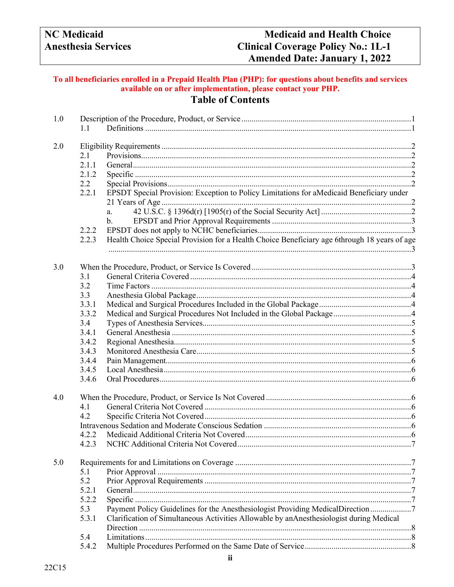# To all beneficiaries enrolled in a Prepaid Health Plan (PHP): for questions about benefits and services<br>available on or after implementation, please contact your PHP. **Table of Contents**

| 1.0 |       |                                                                                              |  |  |
|-----|-------|----------------------------------------------------------------------------------------------|--|--|
|     | 1.1   |                                                                                              |  |  |
| 2.0 |       |                                                                                              |  |  |
|     | 2.1   |                                                                                              |  |  |
|     | 2.1.1 |                                                                                              |  |  |
|     | 2.1.2 |                                                                                              |  |  |
|     | 2.2   |                                                                                              |  |  |
|     | 2.2.1 | EPSDT Special Provision: Exception to Policy Limitations for aMedicaid Beneficiary under     |  |  |
|     |       |                                                                                              |  |  |
|     |       | a.                                                                                           |  |  |
|     |       | b.                                                                                           |  |  |
|     | 2.2.2 |                                                                                              |  |  |
|     | 2.2.3 | Health Choice Special Provision for a Health Choice Beneficiary age 6through 18 years of age |  |  |
| 3.0 |       |                                                                                              |  |  |
|     | 3.1   |                                                                                              |  |  |
|     | 3.2   |                                                                                              |  |  |
|     | 3.3   |                                                                                              |  |  |
|     | 3.3.1 |                                                                                              |  |  |
|     | 3.3.2 |                                                                                              |  |  |
|     | 3.4   |                                                                                              |  |  |
|     | 3.4.1 |                                                                                              |  |  |
|     | 3.4.2 |                                                                                              |  |  |
|     | 3.4.3 |                                                                                              |  |  |
|     | 3.4.4 |                                                                                              |  |  |
|     | 3.4.5 |                                                                                              |  |  |
|     | 3.4.6 |                                                                                              |  |  |
| 4.0 |       |                                                                                              |  |  |
|     | 4.1   |                                                                                              |  |  |
|     | 4.2   |                                                                                              |  |  |
|     |       |                                                                                              |  |  |
|     | 4.2.2 |                                                                                              |  |  |
|     |       |                                                                                              |  |  |
| 5.0 |       |                                                                                              |  |  |
|     | 5.1   |                                                                                              |  |  |
|     | 5.2   |                                                                                              |  |  |
|     | 5.2.1 |                                                                                              |  |  |
|     | 5.2.2 |                                                                                              |  |  |
|     | 5.3   | Payment Policy Guidelines for the Anesthesiologist Providing MedicalDirection7               |  |  |
|     | 5.3.1 | Clarification of Simultaneous Activities Allowable by anAnesthesiologist during Medical      |  |  |
|     |       |                                                                                              |  |  |
|     | 5.4   |                                                                                              |  |  |
|     | 5.4.2 |                                                                                              |  |  |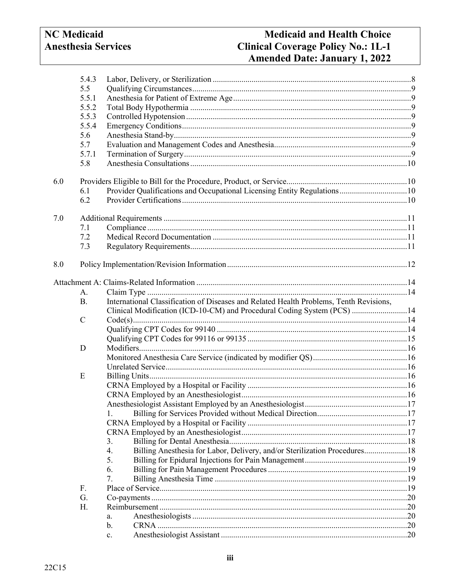# **Medicaid and Health Choice Clinical Coverage Policy No.: 1L-1** Amended Date: January 1, 2022

|     | 5.4.3       |                                                                                        |  |  |  |
|-----|-------------|----------------------------------------------------------------------------------------|--|--|--|
|     | 5.5         |                                                                                        |  |  |  |
|     | 5.5.1       |                                                                                        |  |  |  |
|     | 5.5.2       |                                                                                        |  |  |  |
|     | 5.5.3       |                                                                                        |  |  |  |
|     | 5.5.4       |                                                                                        |  |  |  |
|     | 5.6         |                                                                                        |  |  |  |
|     | 5.7         |                                                                                        |  |  |  |
|     | 5.7.1       |                                                                                        |  |  |  |
|     | 5.8         |                                                                                        |  |  |  |
| 6.0 |             |                                                                                        |  |  |  |
|     | 6.1         | Provider Qualifications and Occupational Licensing Entity Regulations10                |  |  |  |
|     | 6.2         |                                                                                        |  |  |  |
| 7.0 |             |                                                                                        |  |  |  |
|     | 7.1         |                                                                                        |  |  |  |
|     | 7.2         |                                                                                        |  |  |  |
|     | 7.3         |                                                                                        |  |  |  |
| 8.0 |             |                                                                                        |  |  |  |
|     |             |                                                                                        |  |  |  |
|     | А.          |                                                                                        |  |  |  |
|     | <b>B.</b>   | International Classification of Diseases and Related Health Problems, Tenth Revisions, |  |  |  |
|     |             | Clinical Modification (ICD-10-CM) and Procedural Coding System (PCS) 14                |  |  |  |
|     | $\mathbf C$ |                                                                                        |  |  |  |
|     |             |                                                                                        |  |  |  |
|     |             |                                                                                        |  |  |  |
|     | D           |                                                                                        |  |  |  |
|     |             |                                                                                        |  |  |  |
|     |             |                                                                                        |  |  |  |
|     | E           |                                                                                        |  |  |  |
|     |             |                                                                                        |  |  |  |
|     |             |                                                                                        |  |  |  |
|     |             |                                                                                        |  |  |  |
|     |             |                                                                                        |  |  |  |
|     |             |                                                                                        |  |  |  |
|     |             |                                                                                        |  |  |  |
|     |             | 3.                                                                                     |  |  |  |
|     |             | Billing Anesthesia for Labor, Delivery, and/or Sterilization Procedures 18<br>4.       |  |  |  |
|     |             | 5.                                                                                     |  |  |  |
|     |             | 6.                                                                                     |  |  |  |
|     |             | 7.                                                                                     |  |  |  |
|     | F.          |                                                                                        |  |  |  |
|     | G.          |                                                                                        |  |  |  |
|     | Н.          |                                                                                        |  |  |  |
|     |             | a.                                                                                     |  |  |  |
|     |             | b.                                                                                     |  |  |  |
|     |             | $\mathbf{c}$ .                                                                         |  |  |  |
|     |             |                                                                                        |  |  |  |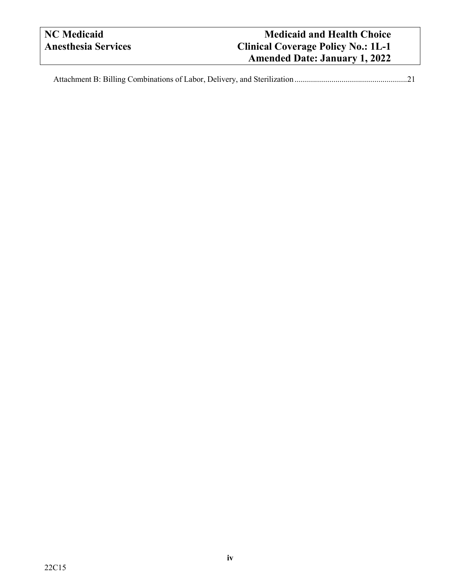| NC Medicaid                | <b>Medicaid and Health Choice</b>         |
|----------------------------|-------------------------------------------|
| <b>Anesthesia Services</b> | <b>Clinical Coverage Policy No.: 1L-1</b> |
|                            | <b>Amended Date: January 1, 2022</b>      |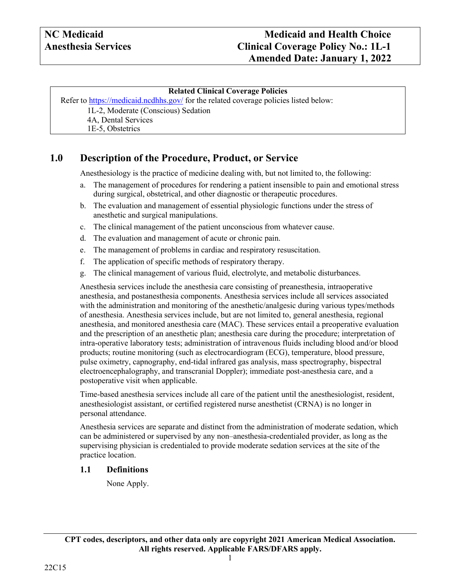### **Related Clinical Coverage Policies**

Refer to <https://medicaid.ncdhhs.gov/> for the related coverage policies listed below: 1L-2, Moderate (Conscious) Sedation

4A, Dental Services

1E-5, Obstetrics

# <span id="page-3-0"></span>**1.0 Description of the Procedure, Product, or Service**

Anesthesiology is the practice of medicine dealing with, but not limited to, the following:

- a. The management of procedures for rendering a patient insensible to pain and emotional stress during surgical, obstetrical, and other diagnostic or therapeutic procedures.
- b. The evaluation and management of essential physiologic functions under the stress of anesthetic and surgical manipulations.
- c. The clinical management of the patient unconscious from whatever cause.
- d. The evaluation and management of acute or chronic pain.
- e. The management of problems in cardiac and respiratory resuscitation.
- f. The application of specific methods of respiratory therapy.
- g. The clinical management of various fluid, electrolyte, and metabolic disturbances.

Anesthesia services include the anesthesia care consisting of preanesthesia, intraoperative anesthesia, and postanesthesia components. Anesthesia services include all services associated with the administration and monitoring of the anesthetic/analgesic during various types/methods of anesthesia. Anesthesia services include, but are not limited to, general anesthesia, regional anesthesia, and monitored anesthesia care (MAC). These services entail a preoperative evaluation and the prescription of an anesthetic plan; anesthesia care during the procedure; interpretation of intra-operative laboratory tests; administration of intravenous fluids including blood and/or blood products; routine monitoring (such as electrocardiogram (ECG), temperature, blood pressure, pulse oximetry, capnography, end-tidal infrared gas analysis, mass spectrography, bispectral electroencephalography, and transcranial Doppler); immediate post-anesthesia care, and a postoperative visit when applicable.

Time-based anesthesia services include all care of the patient until the anesthesiologist, resident, anesthesiologist assistant, or certified registered nurse anesthetist (CRNA) is no longer in personal attendance.

Anesthesia services are separate and distinct from the administration of moderate sedation, which can be administered or supervised by any non–anesthesia-credentialed provider, as long as the supervising physician is credentialed to provide moderate sedation services at the site of the practice location.

### <span id="page-3-1"></span>**1.1 Definitions**

None Apply.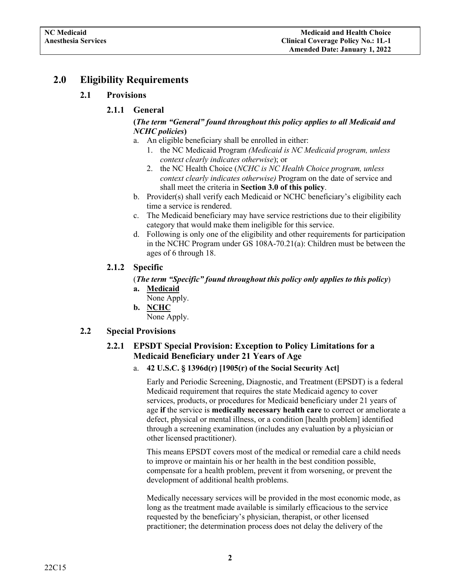# <span id="page-4-2"></span><span id="page-4-1"></span><span id="page-4-0"></span>**2.0 Eligibility Requirements**

### **2.1 Provisions**

### **2.1.1 General**

### **(***The term "General" found throughout this policy applies to all Medicaid and NCHC policies***)**

- a. An eligible beneficiary shall be enrolled in either:
	- 1. the NC Medicaid Program *(Medicaid is NC Medicaid program, unless context clearly indicates otherwise*); or
	- 2. the NC Health Choice (*NCHC is NC Health Choice program, unless context clearly indicates otherwise)* Program on the date of service and shall meet the criteria in **Section 3.0 of this policy**.
- b. Provider(s) shall verify each Medicaid or NCHC beneficiary's eligibility each time a service is rendered.
- c. The Medicaid beneficiary may have service restrictions due to their eligibility category that would make them ineligible for this service.
- d. Following is only one of the eligibility and other requirements for participation in the NCHC Program under GS 108A-70.21(a): Children must be between the ages of 6 through 18.

### <span id="page-4-3"></span>**2.1.2 Specific**

### (*The term "Specific" found throughout this policy only applies to this policy*)

- **a. Medicaid**
	- None Apply.
- **b. NCHC**

None Apply.

### <span id="page-4-6"></span><span id="page-4-5"></span><span id="page-4-4"></span>**2.2 Special Provisions**

### **2.2.1 EPSDT Special Provision: Exception to Policy Limitations for a Medicaid Beneficiary under 21 Years of Age**

a. **42 U.S.C. § 1396d(r) [1905(r) of the Social Security Act]**

Early and Periodic Screening, Diagnostic, and Treatment (EPSDT) is a federal Medicaid requirement that requires the state Medicaid agency to cover services, products, or procedures for Medicaid beneficiary under 21 years of age **if** the service is **medically necessary health care** to correct or ameliorate a defect, physical or mental illness, or a condition [health problem] identified through a screening examination (includes any evaluation by a physician or other licensed practitioner).

This means EPSDT covers most of the medical or remedial care a child needs to improve or maintain his or her health in the best condition possible, compensate for a health problem, prevent it from worsening, or prevent the development of additional health problems.

Medically necessary services will be provided in the most economic mode, as long as the treatment made available is similarly efficacious to the service requested by the beneficiary's physician, therapist, or other licensed practitioner; the determination process does not delay the delivery of the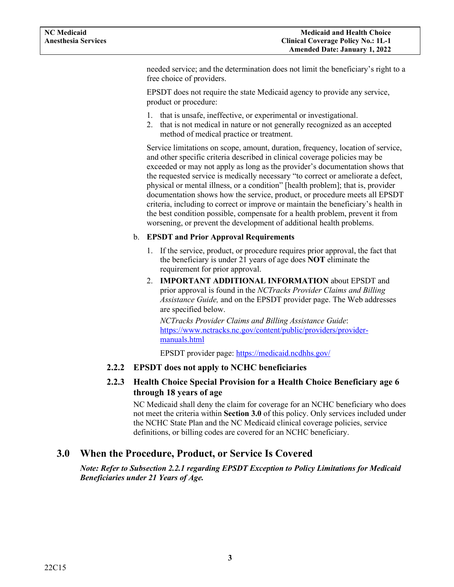needed service; and the determination does not limit the beneficiary's right to a free choice of providers.

EPSDT does not require the state Medicaid agency to provide any service, product or procedure:

- 1. that is unsafe, ineffective, or experimental or investigational.
- 2. that is not medical in nature or not generally recognized as an accepted method of medical practice or treatment.

Service limitations on scope, amount, duration, frequency, location of service, and other specific criteria described in clinical coverage policies may be exceeded or may not apply as long as the provider's documentation shows that the requested service is medically necessary "to correct or ameliorate a defect, physical or mental illness, or a condition" [health problem]; that is, provider documentation shows how the service, product, or procedure meets all EPSDT criteria, including to correct or improve or maintain the beneficiary's health in the best condition possible, compensate for a health problem, prevent it from worsening, or prevent the development of additional health problems.

#### <span id="page-5-0"></span>b. **EPSDT and Prior Approval Requirements**

- 1. If the service, product, or procedure requires prior approval, the fact that the beneficiary is under 21 years of age does **NOT** eliminate the requirement for prior approval.
- 2. **IMPORTANT ADDITIONAL INFORMATION** about EPSDT and prior approval is found in the *NCTracks Provider Claims and Billing Assistance Guide,* and on the EPSDT provider page. The Web addresses are specified below.

*NCTracks Provider Claims and Billing Assistance Guide*: [https://www.nctracks.nc.gov/content/public/providers/provider](https://www.nctracks.nc.gov/content/public/providers/provider-manuals.html)[manuals.html](https://www.nctracks.nc.gov/content/public/providers/provider-manuals.html)

EPSDT provider page: <https://medicaid.ncdhhs.gov/>

### <span id="page-5-2"></span><span id="page-5-1"></span>**2.2.2 EPSDT does not apply to NCHC beneficiaries**

### **2.2.3 Health Choice Special Provision for a Health Choice Beneficiary age 6 through 18 years of age**

NC Medicaid shall deny the claim for coverage for an NCHC beneficiary who does not meet the criteria within **Section 3.0** of this policy. Only services included under the NCHC State Plan and the NC Medicaid clinical coverage policies, service definitions, or billing codes are covered for an NCHC beneficiary.

### <span id="page-5-3"></span>**3.0 When the Procedure, Product, or Service Is Covered**

*Note: Refer to Subsection 2.2.1 regarding EPSDT Exception to Policy Limitations for Medicaid Beneficiaries under 21 Years of Age.*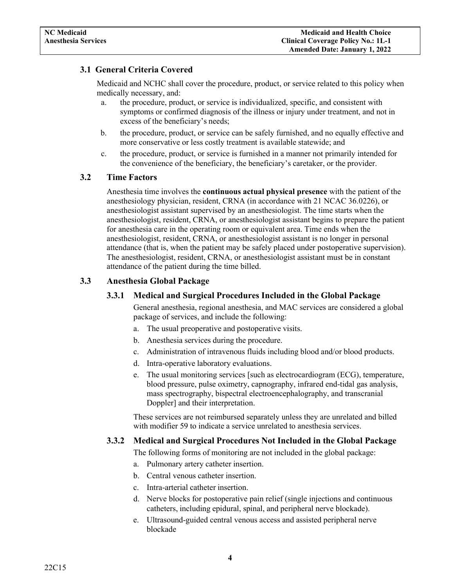### <span id="page-6-0"></span>**3.1 General Criteria Covered**

Medicaid and NCHC shall cover the procedure, product, or service related to this policy when medically necessary, and:

- a. the procedure, product, or service is individualized, specific, and consistent with symptoms or confirmed diagnosis of the illness or injury under treatment, and not in excess of the beneficiary's needs;
- b. the procedure, product, or service can be safely furnished, and no equally effective and more conservative or less costly treatment is available statewide; and
- c. the procedure, product, or service is furnished in a manner not primarily intended for the convenience of the beneficiary, the beneficiary's caretaker, or the provider.

### <span id="page-6-1"></span>**3.2 Time Factors**

Anesthesia time involves the **continuous actual physical presence** with the patient of the anesthesiology physician, resident, CRNA (in accordance with 21 NCAC 36.0226), or anesthesiologist assistant supervised by an anesthesiologist. The time starts when the anesthesiologist, resident, CRNA, or anesthesiologist assistant begins to prepare the patient for anesthesia care in the operating room or equivalent area. Time ends when the anesthesiologist, resident, CRNA, or anesthesiologist assistant is no longer in personal attendance (that is, when the patient may be safely placed under postoperative supervision). The anesthesiologist, resident, CRNA, or anesthesiologist assistant must be in constant attendance of the patient during the time billed.

### <span id="page-6-3"></span><span id="page-6-2"></span>**3.3 Anesthesia Global Package**

### **3.3.1 Medical and Surgical Procedures Included in the Global Package**

General anesthesia, regional anesthesia, and MAC services are considered a global package of services, and include the following:

- a. The usual preoperative and postoperative visits.
- b. Anesthesia services during the procedure.
- c. Administration of intravenous fluids including blood and/or blood products.
- d. Intra-operative laboratory evaluations.
- e. The usual monitoring services [such as electrocardiogram (ECG), temperature, blood pressure, pulse oximetry, capnography, infrared end-tidal gas analysis, mass spectrography, bispectral electroencephalography, and transcranial Doppler] and their interpretation.

These services are not reimbursed separately unless they are unrelated and billed with modifier 59 to indicate a service unrelated to anesthesia services.

### <span id="page-6-4"></span>**3.3.2 Medical and Surgical Procedures Not Included in the Global Package**

The following forms of monitoring are not included in the global package:

- a. Pulmonary artery catheter insertion.
- b. Central venous catheter insertion.
- c. Intra-arterial catheter insertion.
- d. Nerve blocks for postoperative pain relief (single injections and continuous catheters, including epidural, spinal, and peripheral nerve blockade).
- e. Ultrasound-guided central venous access and assisted peripheral nerve blockade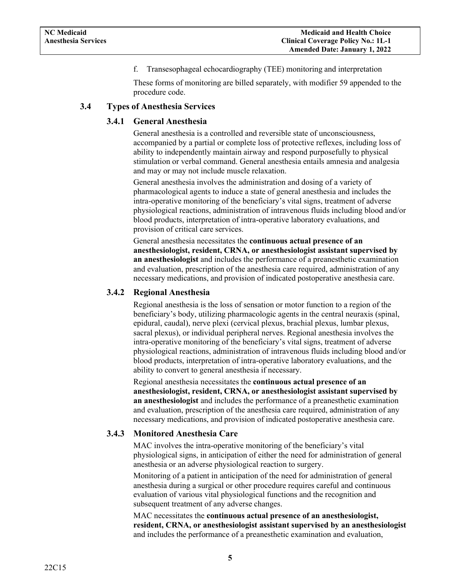f. Transesophageal echocardiography (TEE) monitoring and interpretation

These forms of monitoring are billed separately, with modifier 59 appended to the procedure code.

#### <span id="page-7-1"></span><span id="page-7-0"></span>**3.4 Types of Anesthesia Services**

#### **3.4.1 General Anesthesia**

General anesthesia is a controlled and reversible state of unconsciousness, accompanied by a partial or complete loss of protective reflexes, including loss of ability to independently maintain airway and respond purposefully to physical stimulation or verbal command. General anesthesia entails amnesia and analgesia and may or may not include muscle relaxation.

General anesthesia involves the administration and dosing of a variety of pharmacological agents to induce a state of general anesthesia and includes the intra-operative monitoring of the beneficiary's vital signs, treatment of adverse physiological reactions, administration of intravenous fluids including blood and/or blood products, interpretation of intra-operative laboratory evaluations, and provision of critical care services.

General anesthesia necessitates the **continuous actual presence of an anesthesiologist, resident, CRNA, or anesthesiologist assistant supervised by an anesthesiologist** and includes the performance of a preanesthetic examination and evaluation, prescription of the anesthesia care required, administration of any necessary medications, and provision of indicated postoperative anesthesia care.

#### <span id="page-7-2"></span>**3.4.2 Regional Anesthesia**

Regional anesthesia is the loss of sensation or motor function to a region of the beneficiary's body, utilizing pharmacologic agents in the central neuraxis (spinal, epidural, caudal), nerve plexi (cervical plexus, brachial plexus, lumbar plexus, sacral plexus), or individual peripheral nerves. Regional anesthesia involves the intra-operative monitoring of the beneficiary's vital signs, treatment of adverse physiological reactions, administration of intravenous fluids including blood and/or blood products, interpretation of intra-operative laboratory evaluations, and the ability to convert to general anesthesia if necessary.

Regional anesthesia necessitates the **continuous actual presence of an anesthesiologist, resident, CRNA, or anesthesiologist assistant supervised by an anesthesiologist** and includes the performance of a preanesthetic examination and evaluation, prescription of the anesthesia care required, administration of any necessary medications, and provision of indicated postoperative anesthesia care.

#### <span id="page-7-3"></span>**3.4.3 Monitored Anesthesia Care**

MAC involves the intra-operative monitoring of the beneficiary's vital physiological signs, in anticipation of either the need for administration of general anesthesia or an adverse physiological reaction to surgery.

Monitoring of a patient in anticipation of the need for administration of general anesthesia during a surgical or other procedure requires careful and continuous evaluation of various vital physiological functions and the recognition and subsequent treatment of any adverse changes.

MAC necessitates the **continuous actual presence of an anesthesiologist, resident, CRNA, or anesthesiologist assistant supervised by an anesthesiologist** and includes the performance of a preanesthetic examination and evaluation,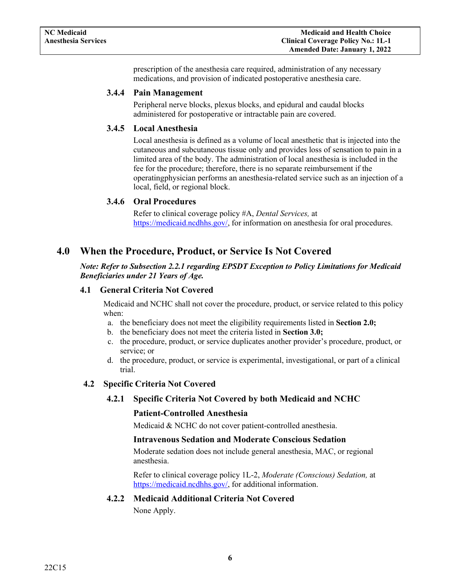prescription of the anesthesia care required, administration of any necessary medications, and provision of indicated postoperative anesthesia care.

#### <span id="page-8-0"></span>**3.4.4 Pain Management**

Peripheral nerve blocks, plexus blocks, and epidural and caudal blocks administered for postoperative or intractable pain are covered.

### <span id="page-8-1"></span>**3.4.5 Local Anesthesia**

Local anesthesia is defined as a volume of local anesthetic that is injected into the cutaneous and subcutaneous tissue only and provides loss of sensation to pain in a limited area of the body. The administration of local anesthesia is included in the fee for the procedure; therefore, there is no separate reimbursement if the operatingphysician performs an anesthesia-related service such as an injection of a local, field, or regional block.

### **3.4.6 Oral Procedures**

Refer to clinical coverage policy #A, *Dental Services,* at [https://medicaid.ncdhhs.gov/,](https://medicaid.ncdhhs.gov/) for information on anesthesia for oral procedures.

### <span id="page-8-4"></span><span id="page-8-3"></span><span id="page-8-2"></span>**4.0 When the Procedure, Product, or Service Is Not Covered**

#### *Note: Refer to Subsection 2.2.1 regarding EPSDT Exception to Policy Limitations for Medicaid Beneficiaries under 21 Years of Age.*

#### **4.1 General Criteria Not Covered**

Medicaid and NCHC shall not cover the procedure, product, or service related to this policy when:

- a. the beneficiary does not meet the eligibility requirements listed in **Section 2.0;**
- b. the beneficiary does not meet the criteria listed in **Section 3.0;**
- c. the procedure, product, or service duplicates another provider's procedure, product, or service; or
- d. the procedure, product, or service is experimental, investigational, or part of a clinical trial.

### <span id="page-8-6"></span><span id="page-8-5"></span>**4.2 Specific Criteria Not Covered**

### **4.2.1 Specific Criteria Not Covered by both Medicaid and NCHC**

#### **Patient-Controlled Anesthesia**

Medicaid & NCHC do not cover patient-controlled anesthesia.

#### **Intravenous Sedation and Moderate Conscious Sedation**

Moderate sedation does not include general anesthesia, MAC, or regional anesthesia.

Refer to clinical coverage policy 1L-2, *Moderate (Conscious) Sedation,* at [https://medicaid.ncdhhs.gov/,](https://medicaid.ncdhhs.gov/) for additional information.

#### <span id="page-8-7"></span>**4.2.2 Medicaid Additional Criteria Not Covered**

None Apply.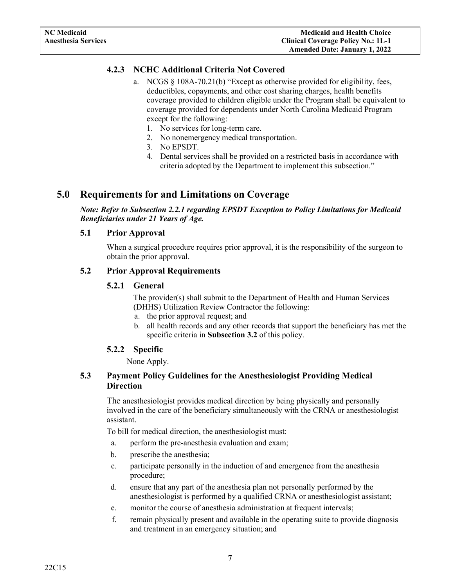### <span id="page-9-0"></span>**4.2.3 NCHC Additional Criteria Not Covered**

- a. NCGS § 108A-70.21(b) "Except as otherwise provided for eligibility, fees, deductibles, copayments, and other cost sharing charges, health benefits coverage provided to children eligible under the Program shall be equivalent to coverage provided for dependents under North Carolina Medicaid Program except for the following:
	- 1. No services for long-term care.
	- 2. No nonemergency medical transportation.
	- 3. No EPSDT.
	- 4. Dental services shall be provided on a restricted basis in accordance with criteria adopted by the Department to implement this subsection."

### <span id="page-9-2"></span><span id="page-9-1"></span>**5.0 Requirements for and Limitations on Coverage**

*Note: Refer to Subsection 2.2.1 regarding EPSDT Exception to Policy Limitations for Medicaid Beneficiaries under 21 Years of Age.*

#### **5.1 Prior Approval**

When a surgical procedure requires prior approval, it is the responsibility of the surgeon to obtain the prior approval.

#### <span id="page-9-4"></span><span id="page-9-3"></span>**5.2 Prior Approval Requirements**

#### **5.2.1 General**

The provider(s) shall submit to the Department of Health and Human Services (DHHS) Utilization Review Contractor the following:

- a. the prior approval request; and
- b. all health records and any other records that support the beneficiary has met the specific criteria in **Subsection 3.2** of this policy.

### **5.2.2 Specific**

None Apply.

### <span id="page-9-6"></span><span id="page-9-5"></span>**5.3 Payment Policy Guidelines for the Anesthesiologist Providing Medical Direction**

The anesthesiologist provides medical direction by being physically and personally involved in the care of the beneficiary simultaneously with the CRNA or anesthesiologist assistant.

To bill for medical direction, the anesthesiologist must:

- a. perform the pre-anesthesia evaluation and exam;
- b. prescribe the anesthesia;
- c. participate personally in the induction of and emergence from the anesthesia procedure;
- d. ensure that any part of the anesthesia plan not personally performed by the anesthesiologist is performed by a qualified CRNA or anesthesiologist assistant;
- e. monitor the course of anesthesia administration at frequent intervals;
- f. remain physically present and available in the operating suite to provide diagnosis and treatment in an emergency situation; and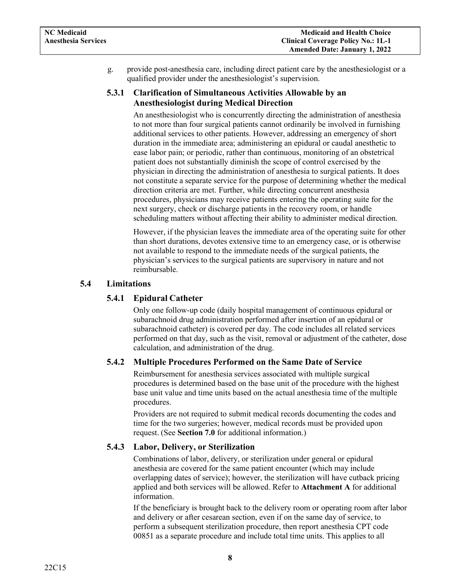g. provide post-anesthesia care, including direct patient care by the anesthesiologist or a qualified provider under the anesthesiologist's supervision.

### <span id="page-10-0"></span>**5.3.1 Clarification of Simultaneous Activities Allowable by an Anesthesiologist during Medical Direction**

An anesthesiologist who is concurrently directing the administration of anesthesia to not more than four surgical patients cannot ordinarily be involved in furnishing additional services to other patients. However, addressing an emergency of short duration in the immediate area; administering an epidural or caudal anesthetic to ease labor pain; or periodic, rather than continuous, monitoring of an obstetrical patient does not substantially diminish the scope of control exercised by the physician in directing the administration of anesthesia to surgical patients. It does not constitute a separate service for the purpose of determining whether the medical direction criteria are met. Further, while directing concurrent anesthesia procedures, physicians may receive patients entering the operating suite for the next surgery, check or discharge patients in the recovery room, or handle scheduling matters without affecting their ability to administer medical direction.

However, if the physician leaves the immediate area of the operating suite for other than short durations, devotes extensive time to an emergency case, or is otherwise not available to respond to the immediate needs of the surgical patients, the physician's services to the surgical patients are supervisory in nature and not reimbursable.

### <span id="page-10-1"></span>**5.4 Limitations**

### **5.4.1 Epidural Catheter**

Only one follow-up code (daily hospital management of continuous epidural or subarachnoid drug administration performed after insertion of an epidural or subarachnoid catheter) is covered per day. The code includes all related services performed on that day, such as the visit, removal or adjustment of the catheter, dose calculation, and administration of the drug.

### <span id="page-10-2"></span>**5.4.2 Multiple Procedures Performed on the Same Date of Service**

Reimbursement for anesthesia services associated with multiple surgical procedures is determined based on the base unit of the procedure with the highest base unit value and time units based on the actual anesthesia time of the multiple procedures.

Providers are not required to submit medical records documenting the codes and time for the two surgeries; however, medical records must be provided upon request. (See **Section 7.0** for additional information.)

### <span id="page-10-3"></span>**5.4.3 Labor, Delivery, or Sterilization**

Combinations of labor, delivery, or sterilization under general or epidural anesthesia are covered for the same patient encounter (which may include overlapping dates of service); however, the sterilization will have cutback pricing applied and both services will be allowed. Refer to **Attachment A** for additional information.

If the beneficiary is brought back to the delivery room or operating room after labor and delivery or after cesarean section, even if on the same day of service, to perform a subsequent sterilization procedure, then report anesthesia CPT code 00851 as a separate procedure and include total time units. This applies to all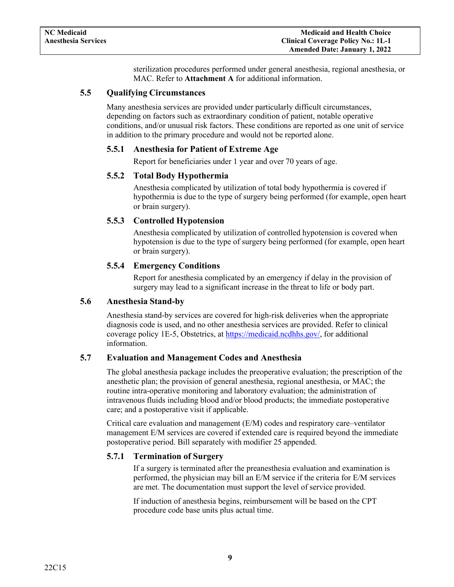sterilization procedures performed under general anesthesia, regional anesthesia, or MAC. Refer to **Attachment A** for additional information.

### <span id="page-11-1"></span><span id="page-11-0"></span>**5.5 Qualifying Circumstances**

Many anesthesia services are provided under particularly difficult circumstances, depending on factors such as extraordinary condition of patient, notable operative conditions, and/or unusual risk factors. These conditions are reported as one unit of service in addition to the primary procedure and would not be reported alone.

#### **5.5.1 Anesthesia for Patient of Extreme Age**

Report for beneficiaries under 1 year and over 70 years of age.

#### <span id="page-11-2"></span>**5.5.2 Total Body Hypothermia**

Anesthesia complicated by utilization of total body hypothermia is covered if hypothermia is due to the type of surgery being performed (for example, open heart or brain surgery).

#### <span id="page-11-3"></span>**5.5.3 Controlled Hypotension**

Anesthesia complicated by utilization of controlled hypotension is covered when hypotension is due to the type of surgery being performed (for example, open heart or brain surgery).

#### **5.5.4 Emergency Conditions**

Report for anesthesia complicated by an emergency if delay in the provision of surgery may lead to a significant increase in the threat to life or body part.

#### <span id="page-11-5"></span><span id="page-11-4"></span>**5.6 Anesthesia Stand-by**

Anesthesia stand-by services are covered for high-risk deliveries when the appropriate diagnosis code is used, and no other anesthesia services are provided. Refer to clinical coverage policy 1E-5, Obstetrics, at [https://medicaid.ncdhhs.gov/,](https://medicaid.ncdhhs.gov/) for additional information.

#### <span id="page-11-6"></span>**5.7 Evaluation and Management Codes and Anesthesia**

The global anesthesia package includes the preoperative evaluation; the prescription of the anesthetic plan; the provision of general anesthesia, regional anesthesia, or MAC; the routine intra-operative monitoring and laboratory evaluation; the administration of intravenous fluids including blood and/or blood products; the immediate postoperative care; and a postoperative visit if applicable.

Critical care evaluation and management (E/M) codes and respiratory care–ventilator management E/M services are covered if extended care is required beyond the immediate postoperative period. Bill separately with modifier 25 appended.

### <span id="page-11-7"></span>**5.7.1 Termination of Surgery**

If a surgery is terminated after the preanesthesia evaluation and examination is performed, the physician may bill an E/M service if the criteria for E/M services are met. The documentation must support the level of service provided.

If induction of anesthesia begins, reimbursement will be based on the CPT procedure code base units plus actual time.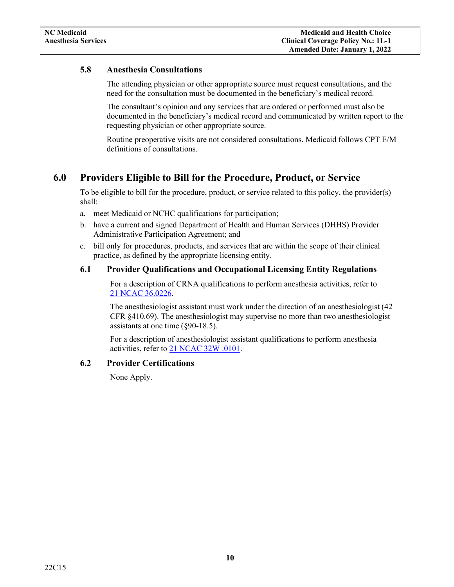### <span id="page-12-0"></span>**5.8 Anesthesia Consultations**

The attending physician or other appropriate source must request consultations, and the need for the consultation must be documented in the beneficiary's medical record.

The consultant's opinion and any services that are ordered or performed must also be documented in the beneficiary's medical record and communicated by written report to the requesting physician or other appropriate source.

Routine preoperative visits are not considered consultations. Medicaid follows CPT E/M definitions of consultations.

## <span id="page-12-1"></span>**6.0 Providers Eligible to Bill for the Procedure, Product, or Service**

To be eligible to bill for the procedure, product, or service related to this policy, the provider(s) shall:

- a. meet Medicaid or NCHC qualifications for participation;
- b. have a current and signed Department of Health and Human Services (DHHS) Provider Administrative Participation Agreement; and
- c. bill only for procedures, products, and services that are within the scope of their clinical practice, as defined by the appropriate licensing entity.

### <span id="page-12-2"></span>**6.1 Provider Qualifications and Occupational Licensing Entity Regulations**

For a description of CRNA qualifications to perform anesthesia activities, refer to [21 NCAC](http://reports.oah.state.nc.us/ncac/title%2021%20-%20occupational%20licensing%20boards%20and%20commissions/chapter%2036%20-%20nursing/21%20ncac%2036%20.0226.html) 36.0226.

The anesthesiologist assistant must work under the direction of an anesthesiologist (42 CFR §410.69). The anesthesiologist may supervise no more than two anesthesiologist assistants at one time (§90-18.5).

For a description of anesthesiologist assistant qualifications to perform anesthesia activities, refer to 21 NCAC [32W .0101.](http://ncrules.state.nc.us/ncac/title%2021%20-%20occupational%20licensing%20boards%20and%20commissions/chapter%2032%20-%20north%20carolina%20medical%20board/subchapter%20w/subchapter%20w%20rules.pdf)

### <span id="page-12-3"></span>**6.2 Provider Certifications**

None Apply.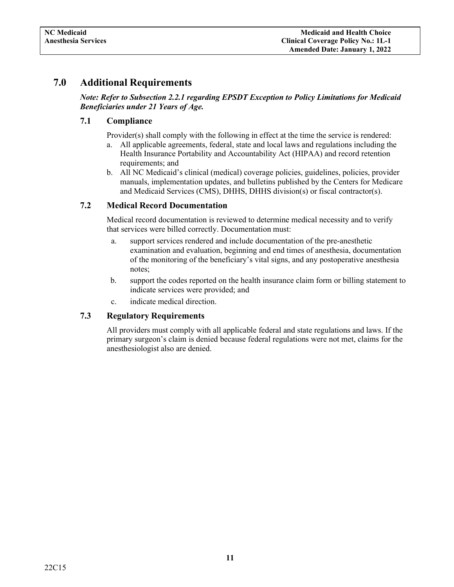### <span id="page-13-1"></span><span id="page-13-0"></span>**7.0 Additional Requirements**

*Note: Refer to Subsection 2.2.1 regarding EPSDT Exception to Policy Limitations for Medicaid Beneficiaries under 21 Years of Age.*

### **7.1 Compliance**

Provider(s) shall comply with the following in effect at the time the service is rendered:

- a. All applicable agreements, federal, state and local laws and regulations including the Health Insurance Portability and Accountability Act (HIPAA) and record retention requirements; and
- b. All NC Medicaid's clinical (medical) coverage policies, guidelines, policies, provider manuals, implementation updates, and bulletins published by the Centers for Medicare and Medicaid Services (CMS), DHHS, DHHS division(s) or fiscal contractor(s).

### <span id="page-13-2"></span>**7.2 Medical Record Documentation**

Medical record documentation is reviewed to determine medical necessity and to verify that services were billed correctly. Documentation must:

- a. support services rendered and include documentation of the pre-anesthetic examination and evaluation, beginning and end times of anesthesia, documentation of the monitoring of the beneficiary's vital signs, and any postoperative anesthesia notes;
- b. support the codes reported on the health insurance claim form or billing statement to indicate services were provided; and
- c. indicate medical direction.

#### <span id="page-13-3"></span>**7.3 Regulatory Requirements**

All providers must comply with all applicable federal and state regulations and laws. If the primary surgeon's claim is denied because federal regulations were not met, claims for the anesthesiologist also are denied.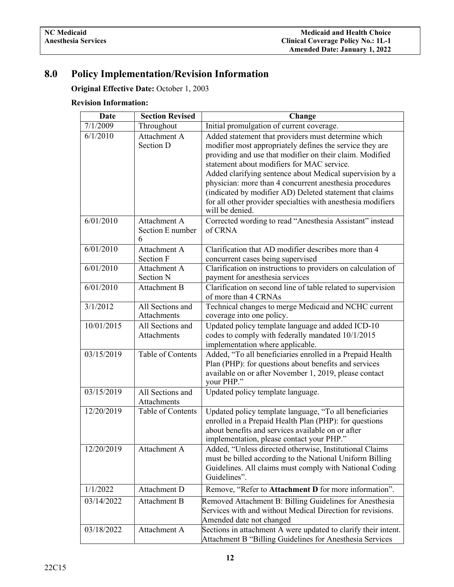# <span id="page-14-0"></span>**8.0 Policy Implementation/Revision Information**

**Original Effective Date:** October 1, 2003

### **Revision Information:**

| Date       | <b>Section Revised</b>          | Change                                                                                                                   |
|------------|---------------------------------|--------------------------------------------------------------------------------------------------------------------------|
| 7/1/2009   | Throughout                      | Initial promulgation of current coverage.                                                                                |
| 6/1/2010   | Attachment A                    | Added statement that providers must determine which                                                                      |
|            | Section D                       | modifier most appropriately defines the service they are                                                                 |
|            |                                 | providing and use that modifier on their claim. Modified                                                                 |
|            |                                 | statement about modifiers for MAC service.                                                                               |
|            |                                 | Added clarifying sentence about Medical supervision by a                                                                 |
|            |                                 | physician: more than 4 concurrent anesthesia procedures                                                                  |
|            |                                 | (indicated by modifier AD) Deleted statement that claims<br>for all other provider specialties with anesthesia modifiers |
|            |                                 | will be denied.                                                                                                          |
| 6/01/2010  | Attachment A                    | Corrected wording to read "Anesthesia Assistant" instead                                                                 |
|            | Section E number                | of CRNA                                                                                                                  |
|            | 6                               |                                                                                                                          |
| 6/01/2010  | Attachment A                    | Clarification that AD modifier describes more than 4                                                                     |
|            | Section F                       | concurrent cases being supervised                                                                                        |
| 6/01/2010  | Attachment A                    | Clarification on instructions to providers on calculation of                                                             |
|            | Section N                       | payment for anesthesia services                                                                                          |
| 6/01/2010  | Attachment B                    | Clarification on second line of table related to supervision                                                             |
| 3/1/2012   | All Sections and                | of more than 4 CRNAs<br>Technical changes to merge Medicaid and NCHC current                                             |
|            | Attachments                     | coverage into one policy.                                                                                                |
| 10/01/2015 | All Sections and                | Updated policy template language and added ICD-10                                                                        |
|            | Attachments                     | codes to comply with federally mandated 10/1/2015                                                                        |
|            |                                 | implementation where applicable.                                                                                         |
| 03/15/2019 | Table of Contents               | Added, "To all beneficiaries enrolled in a Prepaid Health                                                                |
|            |                                 | Plan (PHP): for questions about benefits and services                                                                    |
|            |                                 | available on or after November 1, 2019, please contact                                                                   |
|            |                                 | your PHP."                                                                                                               |
| 03/15/2019 | All Sections and<br>Attachments | Updated policy template language.                                                                                        |
| 12/20/2019 | Table of Contents               | Updated policy template language, "To all beneficiaries                                                                  |
|            |                                 | enrolled in a Prepaid Health Plan (PHP): for questions                                                                   |
|            |                                 | about benefits and services available on or after                                                                        |
|            |                                 | implementation, please contact your PHP."                                                                                |
| 12/20/2019 | Attachment A                    | Added, "Unless directed otherwise, Institutional Claims                                                                  |
|            |                                 | must be billed according to the National Uniform Billing                                                                 |
|            |                                 | Guidelines. All claims must comply with National Coding                                                                  |
|            |                                 | Guidelines".                                                                                                             |
| 1/1/2022   | Attachment D                    | Remove, "Refer to Attachment D for more information".                                                                    |
| 03/14/2022 | Attachment B                    | Removed Attachment B: Billing Guidelines for Anesthesia                                                                  |
|            |                                 | Services with and without Medical Direction for revisions.                                                               |
|            |                                 | Amended date not changed                                                                                                 |
| 03/18/2022 | Attachment A                    | Sections in attachment A were updated to clarify their intent.                                                           |
|            |                                 | Attachment B "Billing Guidelines for Anesthesia Services                                                                 |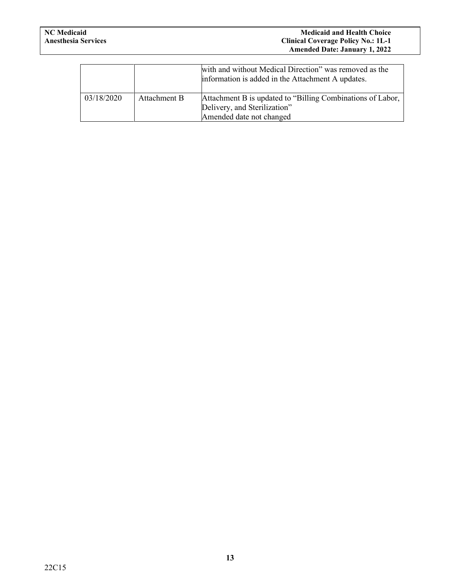|            |              | with and without Medical Direction" was removed as the<br>information is added in the Attachment A updates.            |
|------------|--------------|------------------------------------------------------------------------------------------------------------------------|
| 03/18/2020 | Attachment B | Attachment B is updated to "Billing Combinations of Labor,<br>Delivery, and Sterilization"<br>Amended date not changed |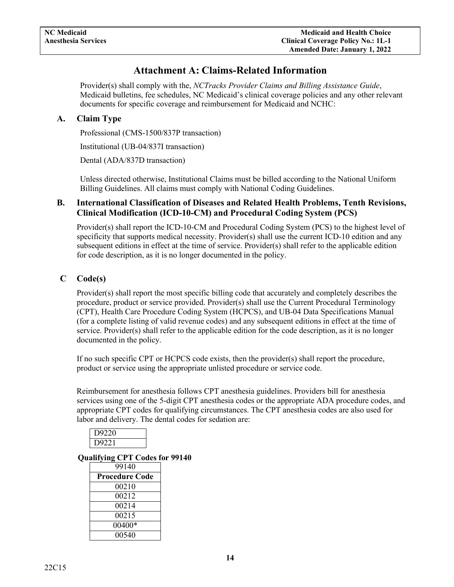# **Attachment A: Claims-Related Information**

<span id="page-16-0"></span>Provider(s) shall comply with the, *NCTracks Provider Claims and Billing Assistance Guide*, Medicaid bulletins, fee schedules, NC Medicaid's clinical coverage policies and any other relevant documents for specific coverage and reimbursement for Medicaid and NCHC:

### <span id="page-16-1"></span>**A. Claim Type**

Professional (CMS-1500/837P transaction)

Institutional (UB-04/837I transaction)

Dental (ADA/837D transaction)

Unless directed otherwise, Institutional Claims must be billed according to the National Uniform Billing Guidelines. All claims must comply with National Coding Guidelines.

### <span id="page-16-2"></span>**B. International Classification of Diseases and Related Health Problems, Tenth Revisions, Clinical Modification (ICD-10-CM) and Procedural Coding System (PCS)**

Provider(s) shall report the ICD-10-CM and Procedural Coding System (PCS) to the highest level of specificity that supports medical necessity. Provider(s) shall use the current ICD-10 edition and any subsequent editions in effect at the time of service. Provider(s) shall refer to the applicable edition for code description, as it is no longer documented in the policy.

### <span id="page-16-3"></span>**C Code(s)**

Provider(s) shall report the most specific billing code that accurately and completely describes the procedure, product or service provided. Provider(s) shall use the Current Procedural Terminology (CPT), Health Care Procedure Coding System (HCPCS), and UB-04 Data Specifications Manual (for a complete listing of valid revenue codes) and any subsequent editions in effect at the time of service. Provider(s) shall refer to the applicable edition for the code description, as it is no longer documented in the policy.

If no such specific CPT or HCPCS code exists, then the provider(s) shall report the procedure, product or service using the appropriate unlisted procedure or service code.

Reimbursement for anesthesia follows CPT anesthesia guidelines. Providers bill for anesthesia services using one of the 5-digit CPT anesthesia codes or the appropriate ADA procedure codes, and appropriate CPT codes for qualifying circumstances. The CPT anesthesia codes are also used for labor and delivery. The dental codes for sedation are:

| D9220 |  |
|-------|--|
| D9221 |  |
|       |  |

### <span id="page-16-4"></span>**Qualifying CPT Codes for 99140**

| 99140                 |
|-----------------------|
| <b>Procedure Code</b> |
| 00210                 |
| 00212                 |
| 00214                 |
| 00215                 |
| 00400*                |
| 00540                 |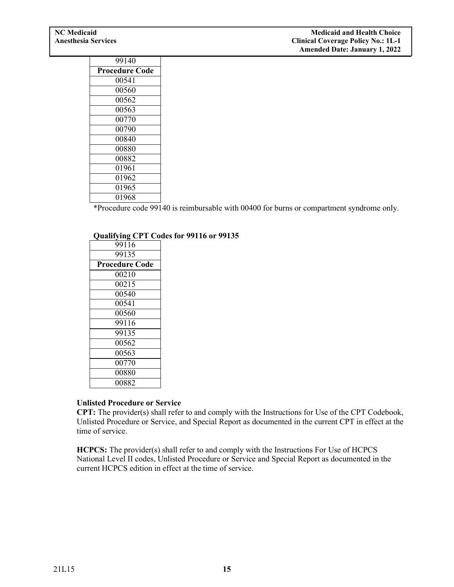| 99140                 |
|-----------------------|
| <b>Procedure Code</b> |
| 00541                 |
| 00560                 |
| 00562                 |
| 00563                 |
| 00770                 |
| 00790                 |
| 00840                 |
| 00880                 |
| 00882                 |
| 01961                 |
| 01962                 |
| 01965                 |
| 01968                 |

\*Procedure code 99140 is reimbursable with 00400 for burns or compartment syndrome only.

#### <span id="page-17-0"></span>**Qualifying CPT Codes for 99116 or 99135**

| 99116                 |
|-----------------------|
| 99135                 |
| <b>Procedure Code</b> |
| 00210                 |
| 00215                 |
| 00540                 |
| 00541                 |
| 00560                 |
| 99116                 |
| 99135                 |
| 00562                 |
| 00563                 |
| 00770                 |
| 00880                 |
| 00882                 |

### **Unlisted Procedure or Service**

**CPT:** The provider(s) shall refer to and comply with the Instructions for Use of the CPT Codebook, Unlisted Procedure or Service, and Special Report as documented in the current CPT in effect at the time of service.

**HCPCS:** The provider(s) shall refer to and comply with the Instructions For Use of HCPCS National Level II codes, Unlisted Procedure or Service and Special Report as documented in the current HCPCS edition in effect at the time of service.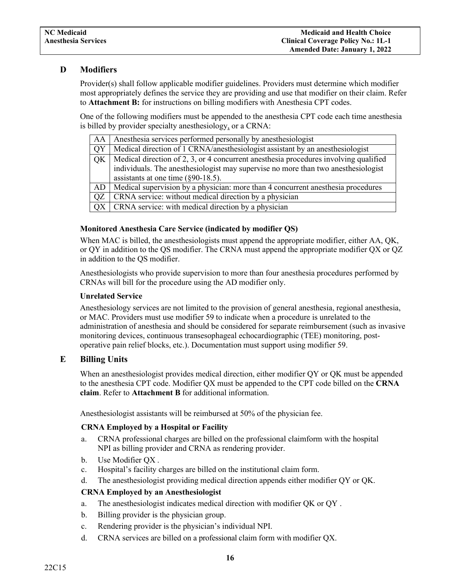### <span id="page-18-0"></span>**D Modifiers**

Provider(s) shall follow applicable modifier guidelines. Providers must determine which modifier most appropriately defines the service they are providing and use that modifier on their claim. Refer to **Attachment B:** for instructions on billing modifiers with Anesthesia CPT codes.

One of the following modifiers must be appended to the anesthesia CPT code each time anesthesia is billed by provider specialty anesthesiology, or a CRNA:

|     | AA   Anesthesia services performed personally by anesthesiologist                                  |
|-----|----------------------------------------------------------------------------------------------------|
| QY  | Medical direction of 1 CRNA/anesthesiologist assistant by an anesthesiologist                      |
| QK  | Medical direction of 2, 3, or 4 concurrent anesthesia procedures involving qualified               |
|     | individuals. The anesthesiologist may supervise no more than two anesthesiologist                  |
|     | assistants at one time $(\S 90-18.5)$ .                                                            |
|     | $\overline{AD}$   Medical supervision by a physician: more than 4 concurrent anesthesia procedures |
| OZ. | CRNA service: without medical direction by a physician                                             |
|     | $QX$ $CRNA$ service: with medical direction by a physician                                         |

#### <span id="page-18-1"></span>**Monitored Anesthesia Care Service (indicated by modifier QS)**

When MAC is billed, the anesthesiologists must append the appropriate modifier, either AA, OK, or QY in addition to the QS modifier. The CRNA must append the appropriate modifier QX or QZ in addition to the QS modifier.

Anesthesiologists who provide supervision to more than four anesthesia procedures performed by CRNAs will bill for the procedure using the AD modifier only.

#### <span id="page-18-2"></span>**Unrelated Service**

Anesthesiology services are not limited to the provision of general anesthesia, regional anesthesia, or MAC. Providers must use modifier 59 to indicate when a procedure is unrelated to the administration of anesthesia and should be considered for separate reimbursement (such as invasive monitoring devices, continuous transesophageal echocardiographic (TEE) monitoring, postoperative pain relief blocks, etc.). Documentation must support using modifier 59.

### <span id="page-18-3"></span>**E Billing Units**

When an anesthesiologist provides medical direction, either modifier OY or OK must be appended to the anesthesia CPT code. Modifier QX must be appended to the CPT code billed on the **CRNA claim**. Refer to **Attachment B** for additional information.

<span id="page-18-4"></span>Anesthesiologist assistants will be reimbursed at 50% of the physician fee.

#### **CRNA Employed by a Hospital or Facility**

- a. CRNA professional charges are billed on the professional claimform with the hospital NPI as billing provider and CRNA as rendering provider.
- b. Use Modifier QX .
- c. Hospital's facility charges are billed on the institutional claim form.
- d. The anesthesiologist providing medical direction appends either modifier QY or QK.

#### <span id="page-18-5"></span>**CRNA Employed by an Anesthesiologist**

- a. The anesthesiologist indicates medical direction with modifier QK or QY .
- b. Billing provider is the physician group.
- c. Rendering provider is the physician's individual NPI.
- d. CRNA services are billed on a professional claim form with modifier QX.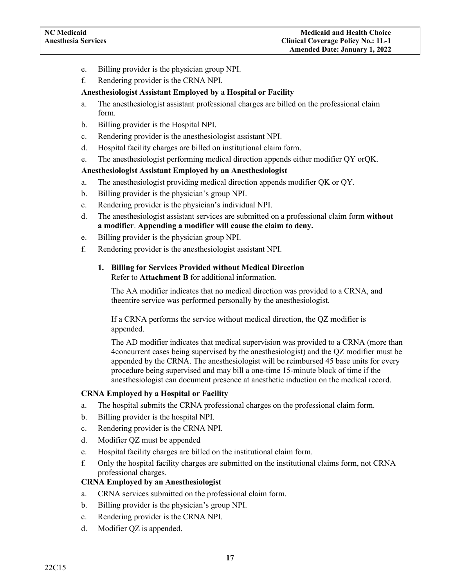- e. Billing provider is the physician group NPI.
- f. Rendering provider is the CRNA NPI.

#### **Anesthesiologist Assistant Employed by a Hospital or Facility**

- a. The anesthesiologist assistant professional charges are billed on the professional claim form.
- b. Billing provider is the Hospital NPI.
- c. Rendering provider is the anesthesiologist assistant NPI.
- d. Hospital facility charges are billed on institutional claim form.
- e. The anesthesiologist performing medical direction appends either modifier QY orQK.

#### <span id="page-19-0"></span>**Anesthesiologist Assistant Employed by an Anesthesiologist**

- a. The anesthesiologist providing medical direction appends modifier QK or QY.
- b. Billing provider is the physician's group NPI.
- c. Rendering provider is the physician's individual NPI.
- d. The anesthesiologist assistant services are submitted on a professional claim form **without a modifier**. **Appending a modifier will cause the claim to deny.**
- e. Billing provider is the physician group NPI.
- <span id="page-19-1"></span>f. Rendering provider is the anesthesiologist assistant NPI.

#### **1. Billing for Services Provided without Medical Direction** Refer to **Attachment B** for additional information.

The AA modifier indicates that no medical direction was provided to a CRNA, and theentire service was performed personally by the anesthesiologist.

If a CRNA performs the service without medical direction, the QZ modifier is appended.

The AD modifier indicates that medical supervision was provided to a CRNA (more than 4concurrent cases being supervised by the anesthesiologist) and the QZ modifier must be appended by the CRNA. The anesthesiologist will be reimbursed 45 base units for every procedure being supervised and may bill a one-time 15-minute block of time if the anesthesiologist can document presence at anesthetic induction on the medical record.

#### <span id="page-19-2"></span>**CRNA Employed by a Hospital or Facility**

- a. The hospital submits the CRNA professional charges on the professional claim form.
- b. Billing provider is the hospital NPI.
- c. Rendering provider is the CRNA NPI.
- d. Modifier QZ must be appended
- e. Hospital facility charges are billed on the institutional claim form.
- f. Only the hospital facility charges are submitted on the institutional claims form, not CRNA professional charges.

#### <span id="page-19-3"></span>**CRNA Employed by an Anesthesiologist**

- a. CRNA services submitted on the professional claim form.
- b. Billing provider is the physician's group NPI.
- c. Rendering provider is the CRNA NPI.
- d. Modifier QZ is appended.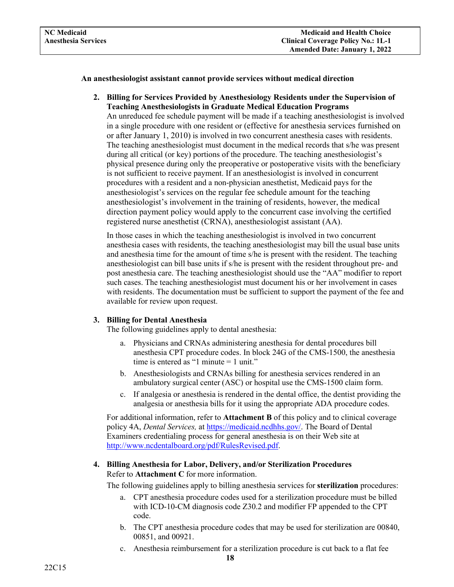#### **An anesthesiologist assistant cannot provide services without medical direction**

**2. Billing for Services Provided by Anesthesiology Residents under the Supervision of Teaching Anesthesiologists in Graduate Medical Education Programs**

An unreduced fee schedule payment will be made if a teaching anesthesiologist is involved in a single procedure with one resident or (effective for anesthesia services furnished on or after January 1, 2010) is involved in two concurrent anesthesia cases with residents. The teaching anesthesiologist must document in the medical records that s/he was present during all critical (or key) portions of the procedure. The teaching anesthesiologist's physical presence during only the preoperative or postoperative visits with the beneficiary is not sufficient to receive payment. If an anesthesiologist is involved in concurrent procedures with a resident and a non-physician anesthetist, Medicaid pays for the anesthesiologist's services on the regular fee schedule amount for the teaching anesthesiologist's involvement in the training of residents, however, the medical direction payment policy would apply to the concurrent case involving the certified registered nurse anesthetist (CRNA), anesthesiologist assistant (AA).

In those cases in which the teaching anesthesiologist is involved in two concurrent anesthesia cases with residents, the teaching anesthesiologist may bill the usual base units and anesthesia time for the amount of time s/he is present with the resident. The teaching anesthesiologist can bill base units if s/he is present with the resident throughout pre- and post anesthesia care. The teaching anesthesiologist should use the "AA" modifier to report such cases. The teaching anesthesiologist must document his or her involvement in cases with residents. The documentation must be sufficient to support the payment of the fee and available for review upon request.

#### <span id="page-20-0"></span>**3. Billing for Dental Anesthesia**

The following guidelines apply to dental anesthesia:

- a. Physicians and CRNAs administering anesthesia for dental procedures bill anesthesia CPT procedure codes. In block 24G of the CMS-1500, the anesthesia time is entered as "1 minute = 1 unit."
- b. Anesthesiologists and CRNAs billing for anesthesia services rendered in an ambulatory surgical center (ASC) or hospital use the CMS-1500 claim form.
- c. If analgesia or anesthesia is rendered in the dental office, the dentist providing the analgesia or anesthesia bills for it using the appropriate ADA procedure codes.

For additional information, refer to **Attachment B** of this policy and to clinical coverage policy 4A, *Dental Services,* a[t https://medicaid.ncdhhs.gov/. T](https://medicaid.ncdhhs.gov/)he Board of Dental Examiners credentialing process for general anesthesia is on their Web site at [http://www.ncdentalboard.org/pdf/RulesRevised.pdf.](http://www.ncdentalboard.org/pdf/RulesRevised.pdf)

### <span id="page-20-1"></span>**4. Billing Anesthesia for Labor, Delivery, and/or Sterilization Procedures** Refer to **Attachment C** for more information.

The following guidelines apply to billing anesthesia services for **sterilization** procedures:

- a. CPT anesthesia procedure codes used for a sterilization procedure must be billed with ICD-10-CM diagnosis code Z30.2 and modifier FP appended to the CPT code.
- b. The CPT anesthesia procedure codes that may be used for sterilization are 00840, 00851, and 00921.
- c. Anesthesia reimbursement for a sterilization procedure is cut back to a flat fee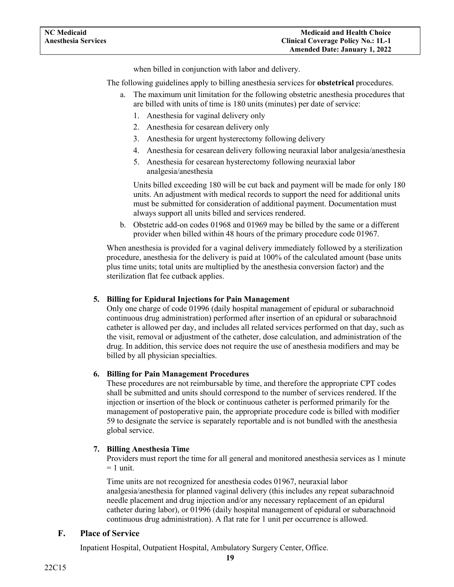when billed in conjunction with labor and delivery.

The following guidelines apply to billing anesthesia services for **obstetrical** procedures.

- a. The maximum unit limitation for the following obstetric anesthesia procedures that are billed with units of time is 180 units (minutes) per date of service:
	- 1. Anesthesia for vaginal delivery only
	- 2. Anesthesia for cesarean delivery only
	- 3. Anesthesia for urgent hysterectomy following delivery
	- 4. Anesthesia for cesarean delivery following neuraxial labor analgesia/anesthesia
	- 5. Anesthesia for cesarean hysterectomy following neuraxial labor analgesia/anesthesia

Units billed exceeding 180 will be cut back and payment will be made for only 180 units. An adjustment with medical records to support the need for additional units must be submitted for consideration of additional payment. Documentation must always support all units billed and services rendered.

b. Obstetric add-on codes 01968 and 01969 may be billed by the same or a different provider when billed within 48 hours of the primary procedure code 01967.

When anesthesia is provided for a vaginal delivery immediately followed by a sterilization procedure, anesthesia for the delivery is paid at 100% of the calculated amount (base units plus time units; total units are multiplied by the anesthesia conversion factor) and the sterilization flat fee cutback applies.

#### <span id="page-21-0"></span>**5. Billing for Epidural Injections for Pain Management**

Only one charge of code 01996 (daily hospital management of epidural or subarachnoid continuous drug administration) performed after insertion of an epidural or subarachnoid catheter is allowed per day, and includes all related services performed on that day, such as the visit, removal or adjustment of the catheter, dose calculation, and administration of the drug. In addition, this service does not require the use of anesthesia modifiers and may be billed by all physician specialties.

#### <span id="page-21-1"></span>**6. Billing for Pain Management Procedures**

These procedures are not reimbursable by time, and therefore the appropriate CPT codes shall be submitted and units should correspond to the number of services rendered. If the injection or insertion of the block or continuous catheter is performed primarily for the management of postoperative pain, the appropriate procedure code is billed with modifier 59 to designate the service is separately reportable and is not bundled with the anesthesia global service.

#### <span id="page-21-2"></span>**7. Billing Anesthesia Time**

Providers must report the time for all general and monitored anesthesia services as 1 minute  $= 1$  unit.

Time units are not recognized for anesthesia codes 01967, neuraxial labor analgesia/anesthesia for planned vaginal delivery (this includes any repeat subarachnoid needle placement and drug injection and/or any necessary replacement of an epidural catheter during labor), or 01996 (daily hospital management of epidural or subarachnoid continuous drug administration). A flat rate for 1 unit per occurrence is allowed.

#### <span id="page-21-3"></span>**F. Place of Service**

Inpatient Hospital, Outpatient Hospital, Ambulatory Surgery Center, Office.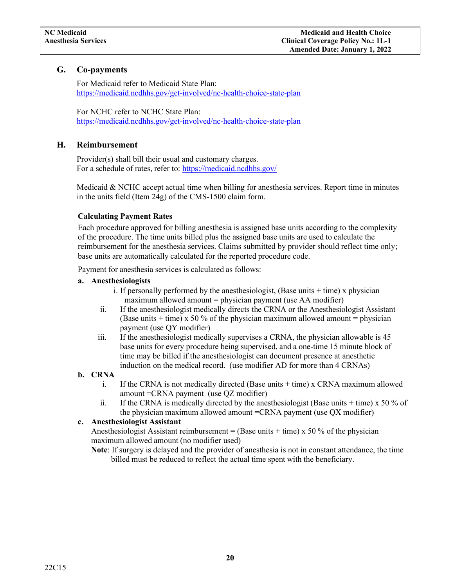### <span id="page-22-0"></span>**G. Co-payments**

For Medicaid refer to Medicaid State Plan: <https://medicaid.ncdhhs.gov/get-involved/nc-health-choice-state-plan>

For NCHC refer to NCHC State Plan: <https://medicaid.ncdhhs.gov/get-involved/nc-health-choice-state-plan>

### <span id="page-22-1"></span>**H. Reimbursement**

Provider(s) shall bill their usual and customary charges. For a schedule of rates, refer to:<https://medicaid.ncdhhs.gov/>

Medicaid  $\&$  NCHC accept actual time when billing for anesthesia services. Report time in minutes in the units field (Item 24g) of the CMS-1500 claim form.

### **Calculating Payment Rates**

Each procedure approved for billing anesthesia is assigned base units according to the complexity of the procedure. The time units billed plus the assigned base units are used to calculate the reimbursement for the anesthesia services. Claims submitted by provider should reflect time only; base units are automatically calculated for the reported procedure code.

Payment for anesthesia services is calculated as follows:

### <span id="page-22-2"></span>**a. Anesthesiologists**

- i. If personally performed by the anesthesiologist, (Base units  $+$  time) x physician maximum allowed amount  $=$  physician payment (use AA modifier)
- ii. If the anesthesiologist medically directs the CRNA or the Anesthesiologist Assistant (Base units  $+$  time) x 50 % of the physician maximum allowed amount = physician payment (use QY modifier)
- iii. If the anesthesiologist medically supervises a CRNA, the physician allowable is 45 base units for every procedure being supervised, and a one-time 15 minute block of time may be billed if the anesthesiologist can document presence at anesthetic induction on the medical record. (use modifier AD for more than 4 CRNAs)

### <span id="page-22-3"></span>**b. CRNA**

- i. If the CRNA is not medically directed (Base units  $+$  time) x CRNA maximum allowed amount =CRNA payment (use QZ modifier)
- ii. If the CRNA is medically directed by the anesthesiologist (Base units  $+$  time) x 50 % of the physician maximum allowed amount =CRNA payment (use QX modifier)

### <span id="page-22-4"></span>**c. Anesthesiologist Assistant**

Anesthesiologist Assistant reimbursement = (Base units + time) x 50 % of the physician maximum allowed amount (no modifier used)

**Note**: If surgery is delayed and the provider of anesthesia is not in constant attendance, the time billed must be reduced to reflect the actual time spent with the beneficiary.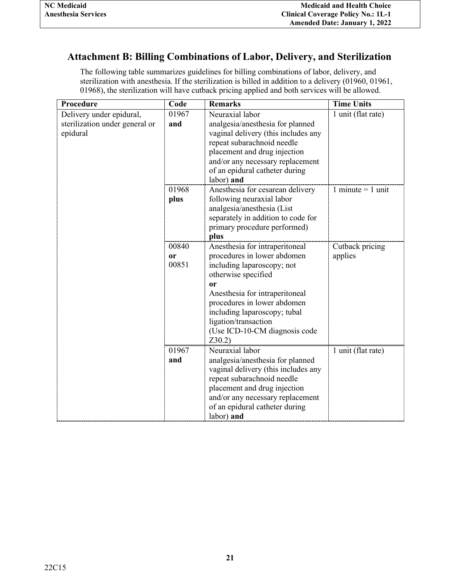# <span id="page-23-0"></span>**Attachment B: Billing Combinations of Labor, Delivery, and Sterilization**

The following table summarizes guidelines for billing combinations of labor, delivery, and sterilization with anesthesia. If the sterilization is billed in addition to a delivery (01960, 01961, 01968), the sterilization will have cutback pricing applied and both services will be allowed.

| 1 unit (flat rate)  |
|---------------------|
|                     |
|                     |
|                     |
|                     |
|                     |
|                     |
|                     |
| 1 minute $=$ 1 unit |
|                     |
|                     |
|                     |
|                     |
|                     |
| Cutback pricing     |
|                     |
|                     |
|                     |
|                     |
|                     |
|                     |
|                     |
|                     |
|                     |
|                     |
| 1 unit (flat rate)  |
|                     |
|                     |
|                     |
|                     |
|                     |
|                     |
|                     |